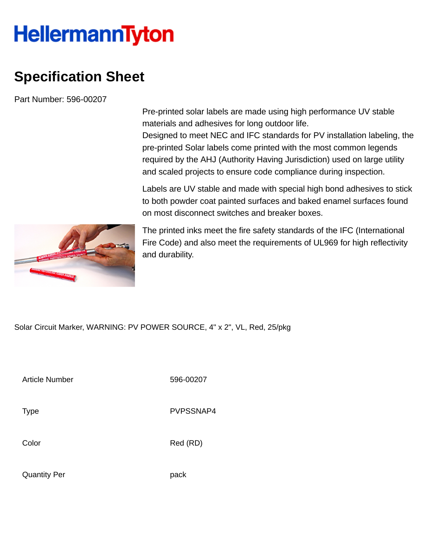## **HellermannTyton**

## **Specification Sheet**

Part Number: 596-00207

Pre-printed solar labels are made using high performance UV stable materials and adhesives for long outdoor life.

Designed to meet NEC and IFC standards for PV installation labeling, the pre-printed Solar labels come printed with the most common legends required by the AHJ (Authority Having Jurisdiction) used on large utility and scaled projects to ensure code compliance during inspection.

Labels are UV stable and made with special high bond adhesives to stick to both powder coat painted surfaces and baked enamel surfaces found on most disconnect switches and breaker boxes.



The printed inks meet the fire safety standards of the IFC (International Fire Code) and also meet the requirements of UL969 for high reflectivity and durability.

Solar Circuit Marker, WARNING: PV POWER SOURCE, 4" x 2", VL, Red, 25/pkg

| Article Number      | 596-00207 |
|---------------------|-----------|
| Type                | PVPSSNAP4 |
| Color               | Red (RD)  |
| <b>Quantity Per</b> | pack      |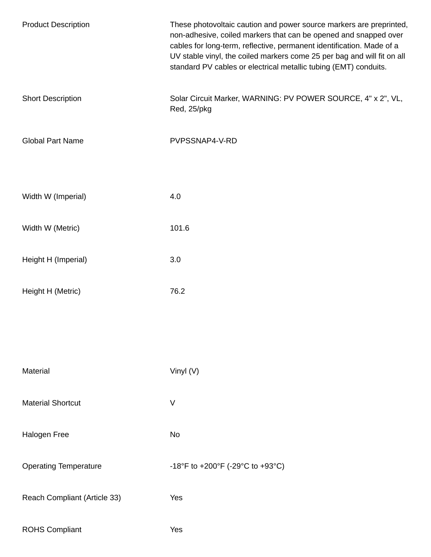| <b>Product Description</b>   | These photovoltaic caution and power source markers are preprinted,<br>non-adhesive, coiled markers that can be opened and snapped over<br>cables for long-term, reflective, permanent identification. Made of a<br>UV stable vinyl, the coiled markers come 25 per bag and will fit on all<br>standard PV cables or electrical metallic tubing (EMT) conduits. |
|------------------------------|-----------------------------------------------------------------------------------------------------------------------------------------------------------------------------------------------------------------------------------------------------------------------------------------------------------------------------------------------------------------|
| <b>Short Description</b>     | Solar Circuit Marker, WARNING: PV POWER SOURCE, 4" x 2", VL,<br>Red, 25/pkg                                                                                                                                                                                                                                                                                     |
| <b>Global Part Name</b>      | PVPSSNAP4-V-RD                                                                                                                                                                                                                                                                                                                                                  |
| Width W (Imperial)           | 4.0                                                                                                                                                                                                                                                                                                                                                             |
| Width W (Metric)             | 101.6                                                                                                                                                                                                                                                                                                                                                           |
| Height H (Imperial)          | 3.0                                                                                                                                                                                                                                                                                                                                                             |
| Height H (Metric)            | 76.2                                                                                                                                                                                                                                                                                                                                                            |
|                              |                                                                                                                                                                                                                                                                                                                                                                 |
| Material                     | Vinyl (V)                                                                                                                                                                                                                                                                                                                                                       |
| <b>Material Shortcut</b>     | $\sf V$                                                                                                                                                                                                                                                                                                                                                         |
| Halogen Free                 | No                                                                                                                                                                                                                                                                                                                                                              |
| <b>Operating Temperature</b> | -18°F to +200°F (-29°C to +93°C)                                                                                                                                                                                                                                                                                                                                |
| Reach Compliant (Article 33) | Yes                                                                                                                                                                                                                                                                                                                                                             |
| <b>ROHS Compliant</b>        | Yes                                                                                                                                                                                                                                                                                                                                                             |